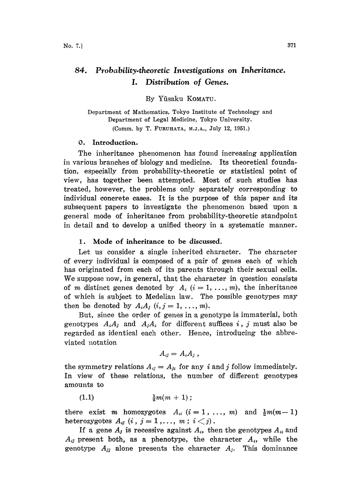# 84. Probability.theoretic Investigations on Inheritance. I. Distribution of Genes.

By Yfisaku KOMATU.

Department of Mathematics, Tokyo Institute of Technology and Department of Legal Medicine, Tokyo University. (Comm. by T. FURUHATA, M.J.A., July 12, 1951.)

#### O. Introduction.

The inheritance phenomenon has found increasing application in various branches of biology and medicine. Its theoretical foundation, especially from probability-theoretic or statistical point of view, has together been attempted. Most of such studies has treated, however, the problems only separately corresponding to individual concrete cases. It is the purpose of this paper and its subsequent papers to investigate the phenomenon based upon a general mode of inheritance from probability-theoretic standpoint in detail and to develop a unified theory in a systematic manner.

#### 1. Mode of inheritance to be discussed.

Let us consider a single inherited character. The character of every individual is composed of a pair of genes each of which has originated from each of its parents through their sexual cells. We suppose now, in general, that the character in question consists of m distinct genes denoted by  $A_i$   $(i=1,..., m)$ , the inheritance of which is subject to Medelian law. The possible genotypes may then be denoted by  $A_i A_j$   $(i, j = 1, ..., m)$ .

But, since the order of genes in a genotype is immaterial, both genotypes  $A_iA_j$  and  $A_jA_i$  for different suffices i, j must also be regarded as identical each other. Hence, introducing the abbreviated notation

$$
A_{ij}=A_iA_j,
$$

the symmetry relations  $A_{ij} = A_{ji}$  for any i and j follow immediately. In view of these relations, the number of different genotypes amounts to

(1.1)  $\frac{1}{2}m(m + 1);$ 

there exist *m* homozygotes  $A_{ii}$   $(i = 1, ..., m)$  and  $\frac{1}{2}m(m-1)$ heterozygotes  $A_{ij}$   $(i, j = 1,..., m; i < j)$ .

If a gene  $A_j$  is recessive against  $A_i$ , then the genotypes  $A_{ii}$  and  $A_{ij}$  present both, as a phenotype, the character  $A_{ij}$ , while the genotype  $A_{jj}$  alone presents the character  $A_{j}$ . This dominance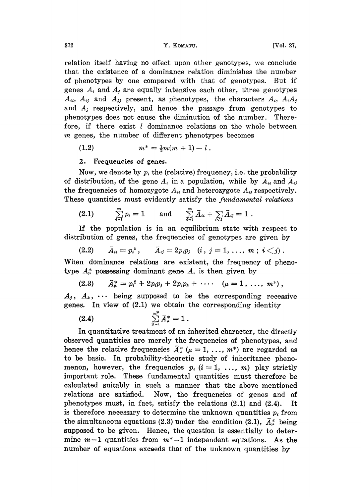relation itself having no effect upon other genotypes, we conclude that the existence of a dominance relation diminishes the number of phenotypes by one compared with that of genotypes. But if genes  $A_i$  and  $A_j$  are equally intensive each other, three genotypes  $A_{ii}$ ,  $A_{ij}$  and  $A_{jj}$  present, as phenotypes, the characters  $A_i$ ,  $A_iA_j$ and  $A_i$  respectively, and hence the passage from genotypes to phenotypes does not cause the diminution of the number. Therefore, if there exist  $l$  dominance relations on the whole between m genes, the number of different phenotypes becomes

(1.2) 
$$
m^* = \frac{1}{2}m(m+1) - l.
$$

### 2. Frequencies of genes.

Now, we denote by  $p_i$  the (relative) frequency, i.e. the probability of distribution, of the gene  $A_i$  in a population, while by  $\overline{A}_{ii}$  and  $\overline{A}_{ij}$ the frequencies of homozygote  $A_{ii}$  and heterozygote  $A_{ii}$  respectively. These quantities must evidently satisfy the *fundamental relations* 

(2.1) 
$$
\sum_{i=1}^{m} p_i = 1
$$
 and  $\sum_{i=1}^{m} \bar{A}_{ii} + \sum_{i < j} \bar{A}_{ij} = 1$ 

If the population is in an equilibrium state with respect to distribution of genes, the frequencies of genotypes are given by

(2.2) 
$$
\bar{A}_{ii} = p_i^2
$$
,  $\bar{A}_{ij} = 2p_i p_j$   $(i, j = 1, ..., m; i < j)$ .

When dominance relations are existent, the frequency of phenotype  $A^*_{\mu}$  possessing dominant gene  $A_i$  is then given by

$$
(2.3) \qquad \bar{A}^*_{\mu} = p_i^2 + 2p_i p_j + 2p_i p_k + \cdots \quad (\mu = 1, \ldots, m^*)
$$

 $+ 2p_i p_j + 2p_i p_k + \cdots \quad (\mu = 1, \ldots, m^*)$ <br>supposed to be the corresponding rection.<br>1) we obtain the corresponding identity.  $A_j$ ,  $A_k$ ,  $\cdots$  being supposed to be the corresponding recessive genes. In view of (2.1) we obtain the corresponding identity

(2.4) 
$$
\sum_{\mu=1}^{m^*} \bar{A}_{\mu}^* = 1.
$$

In quantitative treatment of an inherited character, the directly observed quantities are merely the frequencies of phenotypes, and hence the relative frequencies  $\tilde{A}^*_{\mu}$  ( $\mu = 1, \ldots, m^*$ ) are regarded as to be basic. In probability-theoretic study of inheritance phenomenon, however, the frequencies  $p_i$   $(i = 1, ..., m)$  play strictly important role. These fundamental quantities must therefore be calculated suitably in such a manner that the above mentioned relations are satisfied. Now, the frequencies of genes and of phenotypes must, in fact, satisfy the relations  $(2.1)$  and  $(2.4)$ . It is therefore necessary to determine the unknown quantities  $p_i$  from the simultaneous equations (2.3) under the condition (2.1),  $\bar{A}^*_{\mu}$  being supposed to be given. Hence, the question is essentially to determine  $m-1$  quantities from  $m^*-1$  independent equations. As the number of equations exceeds that of the unknown quantities by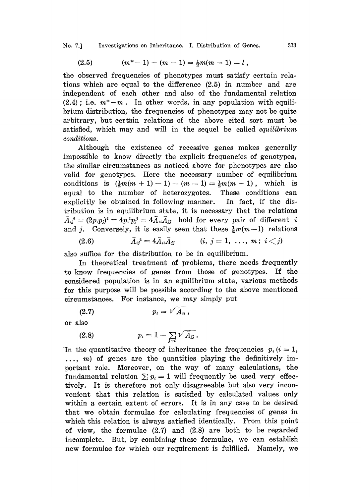No. 7.] Investigations on Inheritance. I. Distribution of Genes. 373

$$
(2.5) \qquad (m^*-1)-(m-1)=\tfrac{1}{2}m(m-1)-l\ ,
$$

the observed frequencies of phenotypes must satisfy certain relations which are equal to the difference (2.5) in number and are independent of each other and also of the fundamental relation  $(2.4)$ ; i.e.  $m^* - m$ . In other words, in any population with equilibrium distribution, the irequencies of phenotypes may not be quite arbitrary, but certain relations of the above cited sort must be satisfied, which may and will in the sequel be called *equilibrium* conditions.

Although the existence of recessive genes makes generally impossible to know directly the explicit frequencies of geaotypes, the similar circumstances as noticed above for phenotypes are also valid for genotypes. Here the necessary number of equilibrium conditions is  $(\frac{1}{2}m(m + 1) - 1) - (m-1) = \frac{1}{2}m(m-1)$ , which is equal to the number of heterozygotes. These conditions can explicitly be obtained in following manner. In fact, if the distribution is in equilibrium state, it is necessary that the relations  $\bar{A}_{ii}^2 = (2p_ip_j)^2 = 4p_i^2p_j^2 = 4\bar{A}_{ii}\bar{A}_{jj}$  hold for every pair of different i and j. Conversely, it is easily seen that these  $\frac{1}{2}m(m-1)$  relations

$$
(2.6) \qquad \qquad \bar{A}_{ij}{}^{2} = 4 \bar{A}_{ii} \bar{A}_{jj} \qquad \qquad (i, j = 1, \ldots, m; i < j)
$$

also suffice for the distribution to be in equilibrium.

In theoretical treatment of problems, there needs frequently to know frequencies of genes from those of genotypes. If the considered population is in an equilibrium state, various methods for this purpose will be possible according to the above meationed circumstances. For instance, we may simply put<br>
(2.7)  $p_i = \sqrt{\overline{A}_{ii}}$ ,

$$
(2.7) \t\t\t p_i = \sqrt{\bar{A}_{ii}}\,,
$$

or also

(2.8) 
$$
p_i = 1 - \sum_{j \neq i} \sqrt{\bar{A}_{jj}}.
$$

In the quantitative theory of inheritance the frequencies  $p_i(i = 1,$ ..., m) of genes are the quantities playing the definitively important role. Moreover, on the way of many calculations, the fundamental relation  $\sum p_i = 1$  will frequently be used very effectively. It is therefore not only disagreeable but also very inconvenient that this relation is satisfied by calculated values only within a certain extent of errors. It is in any case to be desired that we obtain formulae for calculating frequencies of genes in which this relation is always satisfied identically. From this point of view, the formulae (2.7) and (2.8) are both to be regarded incomplete. But, by combining these formulae, we can establish new formulae for which our requirement is fulfilled. Namely, we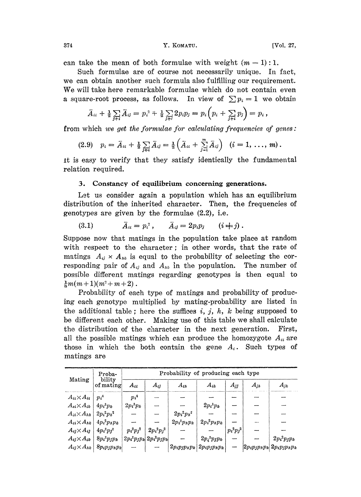#### 374 Y. KOMATU. [Vo|. 27,

can take the mean of both formulae with weight  $(m-1):1$ .

Such formulae are of course not necessarily unique. In fact, we can obtain another such formula also fulfilling our requirement. We will take here remarkable formulae which do not contain even a square-root process, as follows. In view of  $\sum p_i = 1$  we obtain

$$
\bar{A}_{ii} + \frac{1}{2} \sum_{j \neq i} \bar{A}_{ij} = p_i^2 + \frac{1}{2} \sum_{j \neq i} 2p_i p_j = p_i \left( p_i + \sum_{j \neq i} p_j \right) = p_i ,
$$

from which we get the formulae for calculating frequencies of genes:

$$
(2.9) \quad p_i = \bar{A}_{ii} + \tfrac{1}{2} \sum_{j \neq i} \bar{A}_{ij} = \tfrac{1}{2} \left( \bar{A}_{ii} + \sum_{j=1}^m \bar{A}_{ij} \right) \quad (i = 1, \ldots, m) \, .
$$

It is easy to verify that they satisfy identically the fundamental relation required.

### 3. Constancy of equilibrium concerning generations.

Let us consider again a population which has an equilibrium distribution of the inherited character. Then, the frequencies of genotypes are given by the formulae (2.2), i.e.

(3.1) 
$$
\bar{A}_{ii} = p_i^2
$$
,  $\bar{A}_{ij} = 2p_i p_j$   $(i + j)$ .

Suppose now that matings in the population take place at random with respect to the character; in other words, that the rate of matings  $A_{ij} \times A_{ik}$  is equal to the probability of selecting the corresponding pair of  $A_{ij}$  and  $A_{hk}$  in the population. The number of possible different matings regarding genotypes is then equal to  $\frac{1}{6}m(m+1)(m^2+m+2)$ .

Probability of each type of matings and probability of producing each genotype multiplied by mating-probability are listed in the additional table; here the suffices i, j, h, k being supposed to be different each other. Making use of this table we shall calculate the distribution of the character in the next generation. First, all the possible matings which can produce the homozygote  $A_{ii}$  are those in which the both contain the gene  $A_i$ . Such types of matings are

| Mating                 | Proba-<br>bility<br>of mating | Probability of producing each type |                                 |                 |                   |              |          |                                 |
|------------------------|-------------------------------|------------------------------------|---------------------------------|-----------------|-------------------|--------------|----------|---------------------------------|
|                        |                               | $A_{ii}$                           | $A_{ij}$                        | $A_{th}$        | $A_{ik}$          | $A_{jj}$     | $A_{jh}$ | $A_{jk}$                        |
| $A_{ii}\times A_{ii}$  | $p_i^A$                       | $p_i$ <sup>4</sup>                 |                                 |                 |                   |              |          |                                 |
| $A_{si}{\times}A_{ik}$ | $4p_i^3p_k$                   | $2p_i^3p_k$                        |                                 |                 | $2p_i^3p_k$       |              |          |                                 |
| $A_{ii}{\times}A_{hh}$ | $2p_i^2p_h^2$                 |                                    |                                 | $2p_i^2p_h^2$   |                   |              |          |                                 |
| $A_{ii}\times A_{hk}$  | $4p_i^2p_hp_k$                |                                    |                                 | $2p_i^2p_hp_k$  | $2p_i^2p_np_k$    |              |          |                                 |
| $A_{ij}\times A_{ij}$  | $4p_i^2p_j^2$                 | $p_i^2p_j^2$                       | $2p_i^2p_j^2$                   |                 |                   | $p_i^2p_j^2$ |          |                                 |
| $A_{ij}\times A_{ik}$  | $8p_i^2p_jp_k$                |                                    | $2p_i^2p_jp_k   2p_i^2p_jp_k  $ |                 | $2p_i^2p_jp_k$    |              |          | $2p_i^2p_jp_k$                  |
| $A_{ij}\times A_{hk}$  | $8p_ip_jp_np_k$               |                                    |                                 | $2p_ip_jp_np_k$ | $ 2p_ip_jp_np_k $ | ---          |          | $ 2p_ip_jp_np_k  2p_ip_jp_np_k$ |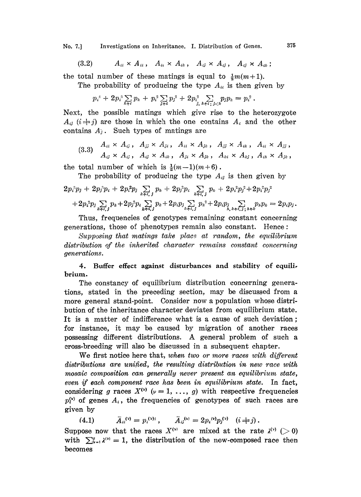No. 7.] Investigations on Inheritance. I. Distribution of Genes. 375

$$
(3.2) \qquad A_{ii} \times A_{ii}, \quad A_{ii} \times A_{ik}, \quad A_{ij} \times A_{ij}, \quad A_{ij} \times A_{ik};
$$

the total number of these matings is equal to  $\frac{1}{2}m(m+1)$ .

The probability of producing the type  $A_{ii}$  is then given by

$$
p_i^4 + 2p_i^3 \sum_{k+i} p_k + p_i^2 \sum_{j+i} p_j^2 + 2p_i^2 \sum_{j, k+i} \sum_{j < k} p_j p_k = p_i^2.
$$

Next, the possible matings which give rise to the heterozygote  $A_{ij}$  ( $i \neq j$ ) are those in which the one contains  $A_i$  and the other contains  $A_j$ . Such types of matings are

(3.3) 
$$
A_{ii} \times A_{ij}
$$
,  $A_{jj} \times A_{ji}$ ,  $A_{ii} \times A_{jk}$ ,  $A_{jj} \times A_{ik}$ ,  $A_{ii} \times A_{jj}$ ,  
\n $A_{ij} \times A_{ij}$ ,  $A_{ij} \times A_{ik}$ ,  $A_{ji} \times A_{jk}$ ,  $A_{ki} \times A_{kj}$ ,  $A_{in} \times A_{jk}$ ,

the total number of which is  $\frac{1}{2}(m-1)(m+6)$ .

The probability of producing the type 
$$
A_{ij}
$$
 is then given by  
\n
$$
2p_i^3p_j + 2p_j^3p_i + 2p_i^2p_j \sum_{k+i,j} p_k + 2p_j^2p_i \sum_{k+i,j} p_k + 2p_i^2p_j^2 + 2p_i^2p_j^2
$$
\n
$$
+ 2p_i^2p_j \sum_{k+i,j} p_k + 2p_j^2p_i \sum_{k+i,j} p_k + 2p_ip_j \sum_{k+i,j} p_k^2 + 2p_ip_j \sum_{k+i,j} p_kp_k = 2p_ip_j.
$$

Thus, frequencies of genotypes remaining constant concerning generations, those of phenotypes remain also constant. Hence:

Supposing that matings take place at random, the equilibrium distribution of the inherited character remains constant concerning generations.

## 4. Buffer effect against disturbances and stability of equilibrium.

The constancy of equilibrium distribution concerning generaions, stated in the preceding section, may be discussed from a more general stand-point. Consider now a population whose distribution of the inheritance character deviates from equilibrium state. It is a matter of indifference what is a cause of such deviation; for instance, it may be caused by migration of another races possessing different distributions. A general problem of such <sup>a</sup> cross-breeding will also be discussed in a subsequent chapter.

We first notice here that, when two or more races with different distributions are unified, the resulting distribution in new race with mosaic composition can generally never present an equilibrium state, even if each component race has been in equilibrium state. In fact, considering g races  $X^{(v)}$  ( $\nu = 1, ..., g$ ) with respective frequencies  $p_i^{(v)}$  of genes  $A_i$ , the frequencies of genotypes of such races are given by

(4.1) 
$$
\bar{A}_{ii}^{(v)} = p_i^{(v)_2}, \qquad \bar{A}_{ij}^{(v)} = 2p_i^{(v)}p_j^{(v)} \quad (i \neq j).
$$

Suppose now that the races  $X^{(v)}$  are mixed at the rate  $\lambda^{(v)} > 0$ with  $\sum_{\nu=1}^q \lambda^{(\nu)}=1$ , the distribution of the new-composed race then becomes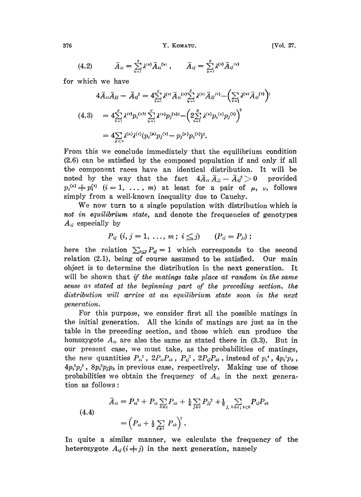376 Y. KOMATU.

$$
(4.2) \qquad \bar{A}_{ii} = \sum_{\nu=1}^{g} \lambda^{(\nu)} \bar{A}_{ii}^{(\nu)} , \qquad \bar{A}_{ij} = \sum_{\nu=1}^{g} \lambda^{(\nu)} \bar{A}_{ij}^{(\nu)}
$$

for which we have

$$
4\bar{A}_{ii}\bar{A}_{jj} - \bar{A}_{ij}^2 = 4\sum_{\nu=1}^{\nu} \lambda^{(\nu)} \bar{A}_{ii}^{(\nu)} \sum_{\nu=1}^{\sigma} \lambda^{(\nu)} \bar{A}_{jj}^{(\nu)} - \left(\sum_{\nu=1}^{\nu} \lambda^{(\nu)} \bar{A}_{ij}^{(\nu)}\right)^2
$$
  
\n
$$
(4.3) = 4\sum_{\nu=1}^{\sigma} \lambda^{(\nu)} p_i^{(\nu)} \sum_{\nu=1}^{\nu} \lambda^{(\nu)} p_j^{(\nu)} - \left(2\sum_{\nu=1}^{\sigma} \lambda^{(\nu)} p_i^{(\nu)} p_j^{(\nu)}\right)^2
$$
  
\n
$$
= 4\sum_{\mu<\nu} \lambda^{(\mu)} \lambda^{(\nu)} (p_i^{(\mu)} p_j^{(\nu)} - p_j^{(\mu)} p_i^{(\nu)})^2.
$$

From this we conclude immediately that the equilibrium condition (2.6) can be satisfied by the composed population if and only if all the component races have an identical distribution. It wilt be noted by the way that the fact  $4\overline{A}_{ii}\overline{A}_{jj}-\overline{A}_{ij}^2>0$  provided  $p_i^{(\mu)} \neq p_i^{(\nu)}$   $(i = 1, \ldots, m)$  at least for a pair of  $\mu$ ,  $\nu$ , follows simply from a well-known inequality due to Cauchy.

We now turn to <sup>a</sup> single population with distribution which is not in equilibrium state, and denote the frequencies of genotypes  $A_{ij}$  especially by

$$
P_{ij}
$$
  $(i, j = 1, ..., m; i \leq j)$   $(P_{ij} = P_{ji});$ 

here the relation  $\sum_{i\leq j}P_{ij}=1$  which corresponds to the second relation (2.1), being of course assumed to be satisfied. Our main object is to determine the distribution in the next generation. It will be shown that if the matings take place at random in the same sense as stated at the beginning part of the preceding section, the distribution will arrive at an equilibrium state soon in the next generation.

For this purpose, we consider first all the possible matings in the initial generation. All the kinds of matings are just as in the table in the preceding section, and those which can produce the homozygote  $A_{ii}$  are also the same as stated there in (3.3). But in our present case, we must take, as the probabilities of matings, the new quantities  $P_{ii}^2$ ,  $2P_{ii}P_{ik}$ ,  $P_{ij}^2$ ,  $2P_{ij}P_{ik}$ , instead of  $p_i^4$ ,  $4p_i^3p_k$ ,  $4p_i^2p_j^2$ ,  $8p_i^2p_jp_k$  in previous case, respectively. Making use of those probabilities we obtain the frequency of  $A_{ii}$  in the next generation as follows:

 $\bar{A}_{ii} = P_{ii}^2 + P_{ii} \sum_{k \neq i} P_{ik} + \frac{1}{4} \sum_{j \neq i} P_{jj}^2 + \frac{1}{2} \sum_{j, k \neq i} \sum_{i < k} P_{ij} P_{ik}$ (4.4)  $=\left(P_{ii}+\frac{1}{2}\sum_{k\neq i}P_{ik}\right)^2.$ 

In quite a similar manner, we calculate the frequency of the heterozygote  $A_{ij}$  ( $i \neq j$ ) in the next generation, namely